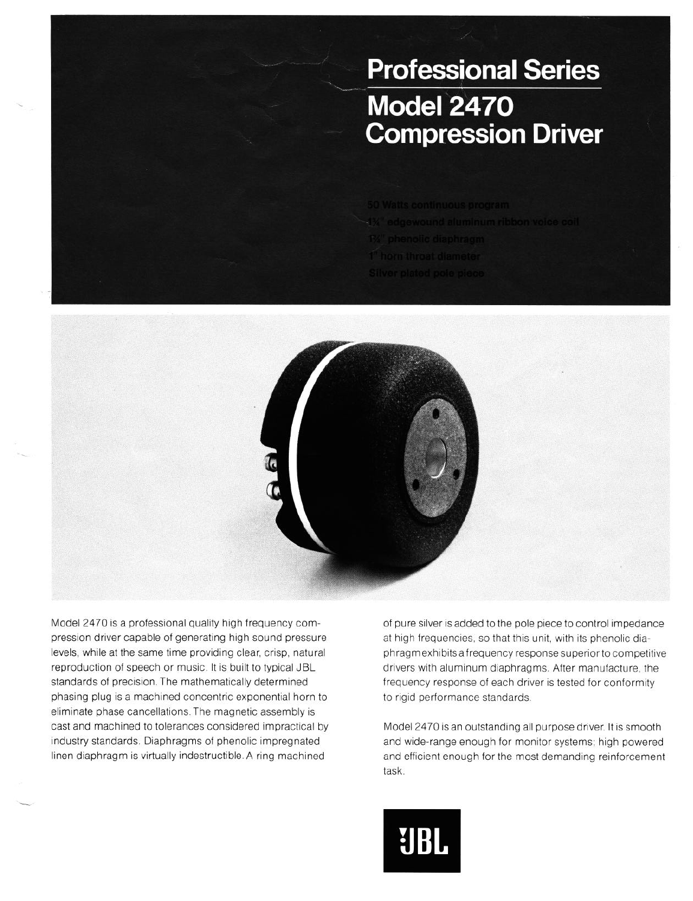## **Professional Series Model 2470 Compression Driver**



Model 2470 is a professional quality high frequency compression driver capable of generating high sound pressure levels, while at the same time providing clear, crisp, natural reproduction of speech or music. It is built to typical JBL standards of precision. The mathematically determined phasing plug is a machined concentric exponential horn to eliminate phase cancellations. The magnetic assembly is cast and machined to tolerances considered impractical by industry standards. Diaphragms of phenolic impregnated linen diaphragm is virtually indestructible. A ring machined

of pure silver is added to the pole piece to control impedance at high frequencies, so that this unit, with its phenolic diaphragmexhibits a frequency response superior to competitive drivers with aluminum diaphragms. After manufacture, the frequency response of each driver is tested for conformity to rigid performance standards

Model 2470 is an outstanding all purpose driver. It is smooth and wide-range enough for monitor systems; high powered and efficient enough for the most demanding reinforcement task.